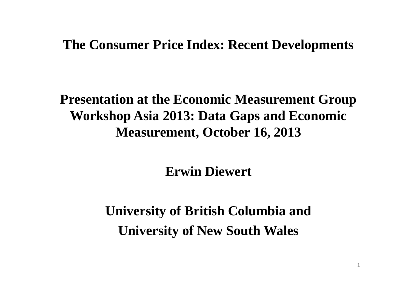#### **The Consumer Price Index: Recent Developments**

# **Presentation at the Economic Measurement Group Workshop Asia 2013: Data Gaps and Economic Measurement, October 16, 2013**

**Erwin Diewert**

**University of British Columbia and University of New South Wales**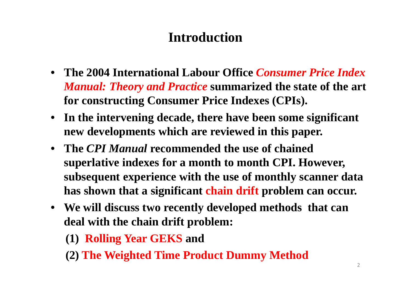# **Introduction**

- **The 2004 International Labour Office** *Consumer Price Index Manual: Theory and Practice* **summarized the state of the art for constructing Consumer Price Indexes (CPIs).**
- **In the intervening decade, there have been some significant new developments which are reviewed in this paper.**
- **The** *CPI Manual* **recommended the use of chained superlative indexes for a month to month CPI. However, subsequent experience with the use of monthly scanner data has shown that a significant chain drift problem can occur.**
- **We will discuss two recently developed methods that can deal with the chain drift problem:**
	- **(1) Rolling Year GEKS and**
	- **(2) The Weighted Time Product Dummy Method**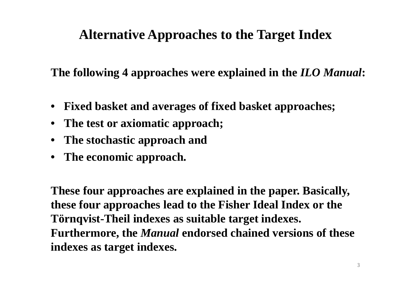# **Alternative Approaches to the Target Index**

**The following 4 approaches were explained in the** *ILO Manual***:**

- •**Fixed basket and averages of fixed basket approaches;**
- •**The test or axiomatic approach;**
- **The stochastic approach and**
- **The economic approach.**

**These four approaches are explained in the paper. Basically, these four approaches lead to the Fisher Ideal Index or the Törnqvist-Theil indexes as suitable target indexes. Furthermore, the** *Manual* **endorsed chained versions of these indexes as target indexes.**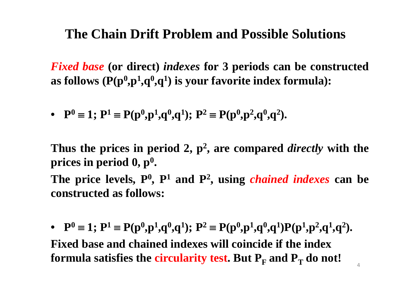#### **The Chain Drift Problem and Possible Solutions**

*Fixed base* **(or direct)** *indexes* **for 3 periods can be constructed as follows (P(p 0,p 1,q 0,q 1) is your favorite index formula):**

• **P**  $\mathbf{P} = 1$ ;  $\mathbf{P}^1 \equiv \mathbf{P}(\mathbf{p}^0, \mathbf{p}^1, \mathbf{q}^0, \mathbf{q}^1)$ ;  $\mathbf{P}^2 \equiv \mathbf{P}(\mathbf{p}^0, \mathbf{p}^2, \mathbf{q}^0, \mathbf{q}^2)$ .

Thus the prices in period 2,  $p^2$ , are compared *directly* with the **prices in period 0, p 0.**

The price levels, P<sup>0</sup>, P<sup>1</sup> and P<sup>2</sup>, using *chained indexes* can be **constructed as follows:**

• **P**  $\mathbf{P} = 1; \mathbf{P}^1 \equiv \mathbf{P}(\mathbf{p}^0, \mathbf{p}^1, \mathbf{q}^0, \mathbf{q}^1); \mathbf{P}^2 \equiv \mathbf{P}(\mathbf{p}^0, \mathbf{p}^1, \mathbf{q}^0, \mathbf{q}^1) \mathbf{P}(\mathbf{p}^1, \mathbf{p}^2, \mathbf{q}^1, \mathbf{q}^2).$ **Fixed base and chained indexes will coincide if the index**  formula satisfies the circularity test. But  $\mathbf{P_{F}}$  and  $\mathbf{P_{T}}$  do not!

4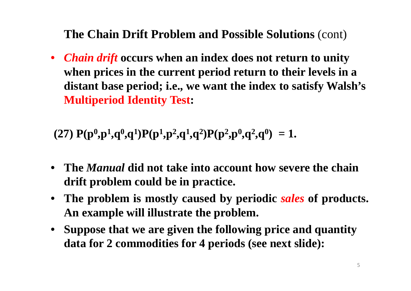**The Chain Drift Problem and Possible Solutions** (cont)

• *Chain drift* **occurs when an index does not return to unity when prices in the current period return to their levels in a distant base period; i.e., we want the index to satisfy Walsh's Multiperiod Identity Test:**

(27)  $P(p^0, p^1, q^0, q^1)P(p^1, p^2, q^1, q^2)P(p^2, p^0, q^2, q^0) = 1.$ 

- **The** *Manual* **did not take into account how severe the chain drift problem could be in practice.**
- **The problem is mostly caused by periodic** *sales* **of products. An example will illustrate the problem.**
- **Suppose that we are given the following price and quantity data for 2 commodities for 4 periods (see next slide):**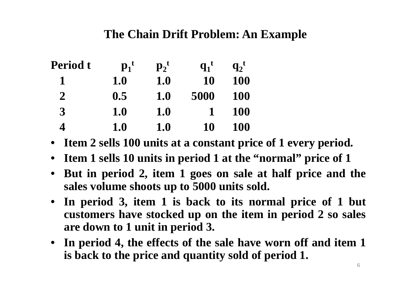#### **The Chain Drift Problem: An Example**

| <b>Period t</b> | $\mathbf{p_1}^t$ | $\mathbf{p_2}^t$ | $q_1$ <sup>t</sup> | $q_2$ <sup>t</sup> |
|-----------------|------------------|------------------|--------------------|--------------------|
|                 | 1.0              | 1.0              | 10                 | <b>100</b>         |
| $\overline{2}$  | 0.5              | <b>1.0</b>       | 5000               | <b>100</b>         |
| 3               | 1.0              | 1.0              |                    | <b>100</b>         |
| 4               | 1.0              | 1.0              | 10                 | <b>100</b>         |

- Item 2 sells 100 units at a constant price of 1 every period.
- Item 1 sells 10 units in period 1 at the "normal" price of 1
- But in period 2, item 1 goes on sale at half price and the **sales volume shoots up to 5000 units sold.**
- In period 3, item 1 is back to its normal price of 1 but customers have stocked up on the item in period 2 so sales **are down to 1 unit in period 3.**
- In period 4, the effects of the sale have worn off and item 1 **is back to the price and quantity sold of period 1.**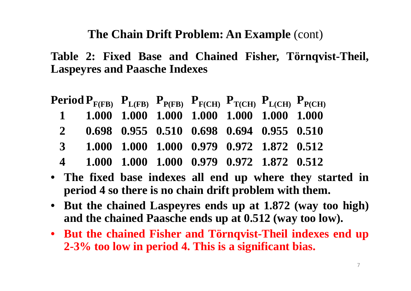**The Chain Drift Problem: An Example** (cont)

**Table 2: Fixed Base and Chained Fisher, Törnqvist-Theil, Laspeyres and Paasche Indexes**

|                       | <b>Period P<sub>F(FB)</sub></b> $P_{L(FB)}$ $P_{P(FB)}$ $P_{F(CH)}$ $P_{T(CH)}$ $P_{L(CH)}$ $P_{P(CH)}$ |  |  |  |
|-----------------------|---------------------------------------------------------------------------------------------------------|--|--|--|
|                       | 1 1.000 1.000 1.000 1.000 1.000 1.000 1.000                                                             |  |  |  |
| $\overline{2}$        | 0.698 0.955 0.510 0.698 0.694 0.955 0.510                                                               |  |  |  |
| $\mathbf{3}$          | 1.000 1.000 1.000 0.979 0.972 1.872 0.512                                                               |  |  |  |
| $\boldsymbol{\Delta}$ | 1.000 1.000 1.000 0.979 0.972 1.872 0.512                                                               |  |  |  |

- **The fixed base indexes all end up where they started in period 4 so there is no chain drift problem with them.**
- **But the chained Laspeyres ends up at 1.872 (way too high) and the chained Paasche ends up at 0.512 (way too low).**
- **But the chained Fisher and Törnqvist-Theil indexes end up 2-3% too low in period 4. This is <sup>a</sup> significant bias.**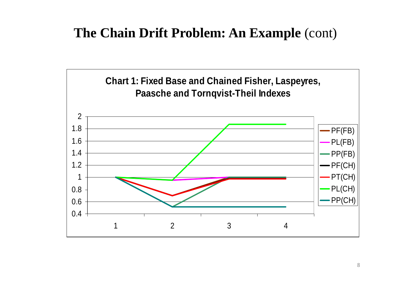### **The Chain Drift Problem: An Example** (cont)

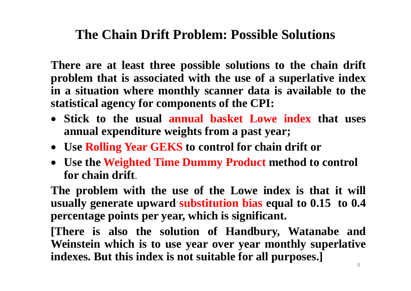### **The Chain Drift Problem: Possible Solutions**

**There are at least three possible solutions to the chain drift problem that is associated with the use of <sup>a</sup> superlative index in <sup>a</sup> situation where monthly scanner data is available to the statistical agency for components of the CPI:**

- **Stick to the usual annual basket Lowe index that uses annual expenditure weights from <sup>a</sup> past year;**
- **Use Rolling Year GEKS to control for chain drift or**
- **Use the Weighted Time Dummy Product method to control for chain drift**.

The problem with the use of the Lowe index is that it will **usually generate upward substitution bias equal to 0.15 to 0.4 percentage points per year, which is significant.**

**[There is also the solution of Handbury, Watanabe and Weinstein which is to use year over year monthly superlative indexes. But this index is not suitable for all purposes.]**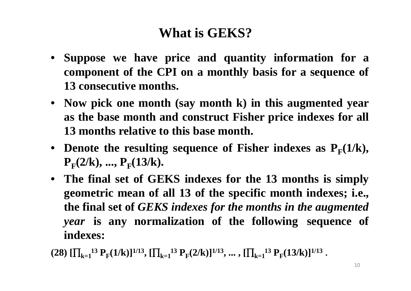# **What is GEKS?**

- **Suppose we have price and quantity information for <sup>a</sup> component of the CPI on <sup>a</sup> monthly basis for <sup>a</sup> sequence of 13 consecutive months.**
- **Now pick one month (say month k) in this augmented year as the base month and construct Fisher price indexes for all 13 months relative to this base month.**
- Denote the resulting sequence of Fisher indexes as  $P_F(1/k)$ ,  $P_{F}(2/k), \ldots, P_{F}(13/k).$
- **The final set of GEKS indexes for the 13 months is simply geometric mean of all 13 of the specific month indexes; i.e., the final set of** *GEKS indexes for the months in the augmented year* **is any normalization of the following sequence of indexes:**

 $(28)$   $[\prod_{k=1}^{13} P_F(1/k)]^{1/13}$ ,  $[\prod_{k=1}^{13} P_F(2/k)]^{1/13}$ ,  $\ldots$ ,  $[\prod_{k=1}^{13} P_F(13/k)]^{1/13}$ .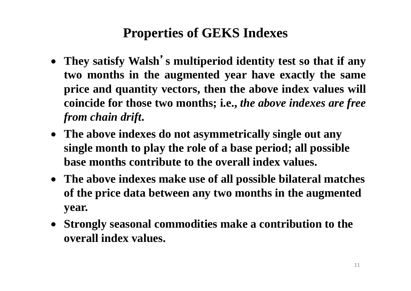# **Properties of GEKS Indexes**

- **They satisfy Walsh**'**<sup>s</sup> multiperiod identity test so that if any two months in the augmented year have exactly the same price and quantity vectors, then the above index values will coincide for those two months; i.e.,** *the above indexes are free from chain drift***.**
- **The above indexes do not asymmetrically single out any single month to play the role of a base period; all possible base months contribute to the overall index values.**
- **The above indexes make use of all possible bilateral matches of the price data between any two months in the augmented year.**
- **Strongly seasonal commodities make a contribution to the overall index values.**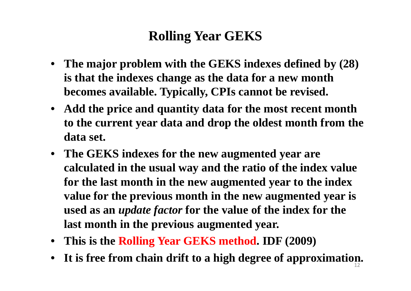# **Rolling Year GEKS**

- **The major problem with the GEKS indexes defined by (28) is that the indexes change as the data for a new month becomes available. Typically, CPIs cannot be revised.**
- **Add the price and quantity data for the most recent month to the current year data and drop the oldest month from the data set.**
- **The GEKS indexes for the new augmented year are calculated in the usual way and the ratio of the index value for the last month in the new augmented year to the index value for the previous month in the new augmented year is used as an** *update factor* **for the value of the index for the last month in the previous augmented year.**
- **This is the Rolling Year GEKS method. IDF (2009)**
- **It is free from chain drift to a high degree of approximation.** 12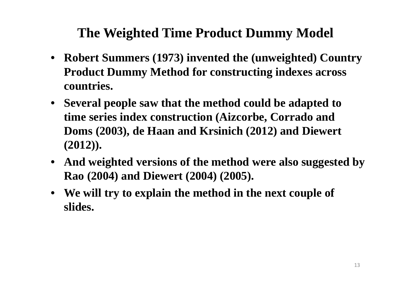# **The Weighted Time Product Dummy Model**

- **Robert Summers (1973) invented the (unweighted) Country Product Dummy Method for constructing indexes across countries.**
- **Several people saw that the method could be adapted to time series index construction (Aizcorbe, Corrado and Doms (2003), de Haan and Krsinich (2012) and Diewert (2012)).**
- **And weighted versions of the method were also suggested by Rao (2004) and Diewert (2004) (2005).**
- **We will try to explain the method in the next couple of slides.**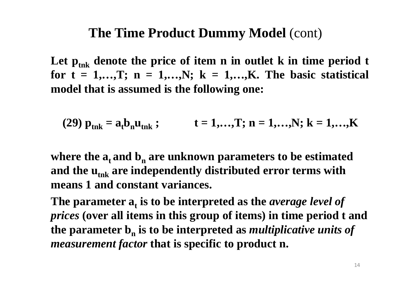#### **The Time Product Dummy Model** (cont)

Let  $\mathbf{p}_{\text{tnk}}$  denote the price of item  $\mathbf n$  in outlet  $\mathbf k$  in time period t for  $t = 1,...,T$ ;  $n = 1,...,N$ ;  $k = 1,...,K$ . The basic statistical **model that is assumed is the following one:**

(29)  $p_{\text{tnk}} = a_t b_n u_{\text{tnk}}$ ;  $t = 1,...,T; n = 1,...,N; k = 1,...,K$ 

where the  $a_t$  and  $b_n$  are unknown parameters to be estimated and the u<sub>tnk</sub> are independently distributed error terms with **means 1 and constant variances.** 

The parameter  $a_t$  is to be interpreted as the *average level of prices* **(over all items in this group of items) in time period t and the parameter b n is to be interpreted as** *multiplicative units of measurement factor* **that is specific to product n.**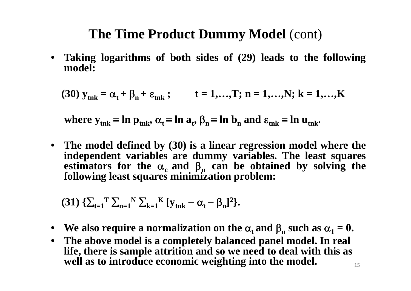### **The Time Product Dummy Model** (cont)

• **Taking logarithms of both sides of (29) leads to the following model:**

(30)  $y_{\text{tnk}} = \alpha_t + \beta_n + \varepsilon_{\text{tnk}}$ ;  $t = 1,...,T; n = 1,...,N; k = 1,...,K$ 

where  $y_{\text{tnk}} \equiv \ln p_{\text{tnk}}$ ,  $\alpha_t \equiv \ln a_t$ ,  $\beta_n \equiv \ln b_n$  and  $\epsilon_{\text{tnk}} \equiv \ln u_{\text{tnk}}$ .

• The model defined by (30) is a linear regression model where the **independent variables are dummy variables. The least squares estimators for the**  $\alpha_c$  **and**  $\beta_n$  **can be obtained by solving the following least squares minimization problem:**

(31) 
$$
\{\sum_{t=1}^{T} \sum_{n=1}^{N} \sum_{k=1}^{K} [y_{tnk} - \alpha_t - \beta_n]^2\}
$$
.

- We also require a normalization on the  $\alpha_t$  and  $\beta_n$  such as  $\alpha_1 = 0$ .
- **The above model is a completely balanced panel model. In real life, there is sample attrition and so we need to deal with this as well as to introduce economic weighting into the model.**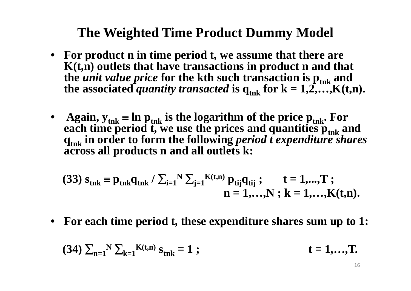### **The Weighted Time Product Dummy Model**

- **For product n in time period t, we assume that there are K(t,n) outlets that have transactions in product n and that the** *unit value price* **for the kth such transaction is**  $\mathbf{p}_{\text{tnk}}$  **and the associated** *quantity transacted* **is**  $q_{\text{tnk}}$  **for**  $k = 1, 2, \ldots, K(t, n)$ **.**
- **Again**, y<sub>tnk</sub>  $\equiv$  **ln**  $\mathbf{p}_{\text{tnk}}$  is the logarithm of the price  $\mathbf{p}_{\text{tnk}}$ . For **each time period t, we use the prices and quantities**  $\mathbf{p}_{\text{tnk}}$  **and qtnk in order to form the following** *period <sup>t</sup> expenditure shares* **across all products n and all outlets k:**

(33) 
$$
s_{tnk} = p_{tnk}q_{tnk} / \sum_{i=1}^{N} \sum_{j=1}^{N} \sum_{j=1}^{K(t,n)} p_{tij}q_{tij}
$$
; t = 1,...,T ;  
 n = 1,...,N ; k = 1,...,K(t,n).

• For each time period t, these expenditure shares sum up to 1:

(34) 
$$
\sum_{n=1}^{N} \sum_{k=1}^{K(t,n)} s_{tnk} = 1
$$
; \t\t\t $t = 1,...,T$ .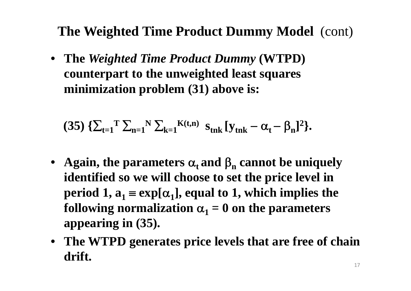**The Weighted Time Product Dummy Model** (cont)

• **The** *Weighted Time Product Dummy* **(WTPD) counterpart to the unweighted least squares minimization problem (31) above is:**

(35) 
$$
\{\sum_{t=1}^{T} \sum_{n=1}^{N} \sum_{k=1}^{K(t,n)} s_{tnk} [y_{tnk} - \alpha_{t} - \beta_{n}]^{2}\}.
$$

- Again, the parameters  $\alpha_t$  and  $\beta_n$  cannot be uniquely **identified so we will choose to set the price level in period** 1,  $a_1 \equiv \exp[\alpha_1]$ , equal to 1, which implies the following normalization  $\alpha_1 = 0$  on the parameters **appearing in (35).**
- **The WTPD generates price levels that are free of chain drift.**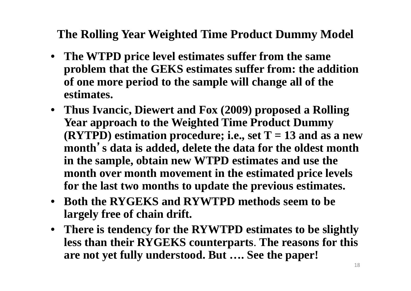**The Rolling Year Weighted Time Product Dummy Model** 

- **The WTPD price level estimates suffer from the same problem that the GEKS estimates suffer from: the addition of one more period to the sample will change all of the estimates.**
- **Thus Ivancic, Diewert and Fox (2009) proposed a Rolling Year approach to the Weighted Time Product Dummy (RYTPD)** estimation procedure; i.e., set  $T = 13$  and as a new **month**'**s data is added, delete the data for the oldest month in the sample, obtain new WTPD estimates and use the month over month movement in the estimated price levels for the last two months to update the previous estimates.**
- **Both the RYGEKS and RYWTPD methods seem to be largely free of chain drift.**
- **There is tendency for the RYWTPD estimates to be slightly less than their RYGEKS counterparts**. **The reasons for this are not yet fully understood. But …. See the paper!**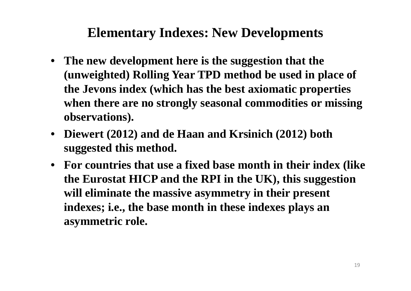### **Elementary Indexes: New Developments**

- **The new development here is the suggestion that the (unweighted) Rolling Year TPD method be used in place of the Jevons index (which has the best axiomatic properties when there are no strongly seasonal commodities or missing observations).**
- **Diewert (2012) and de Haan and Krsinich (2012) both suggested this method.**
- **For countries that use a fixed base month in their index (like the Eurostat HICP and the RPI in the UK), this suggestion will eliminate the massive asymmetry in their present indexes; i.e., the base month in these indexes plays an asymmetric role.**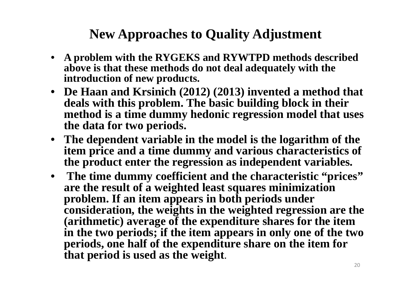### **New Approaches to Quality Adjustment**

- **A problem with the RYGEKS and RYWTPD methods described above is that these methods do not deal adequately with the introduction of new products.**
- **De Haan and Krsinich (2012) (2013) invented a method that deals with this problem. The basic building block in their method is a time dummy hedonic regression model that uses the data for two periods.**
- **The dependent variable in the model is the logarithm of the item price and a time dummy and various characteristics of the product enter the regression as independent variables.**
- **The time dummy coefficient and the characteristic "prices" are the result of a weighted least squares minimization problem. If an item appears in both periods under consideration, the weights in the weighted regression are the (arithmetic) average of the expenditure shares for the item in the two periods; if the item appears in only one of the two periods, one half of the expenditure share on the item for that period is used as the weight**.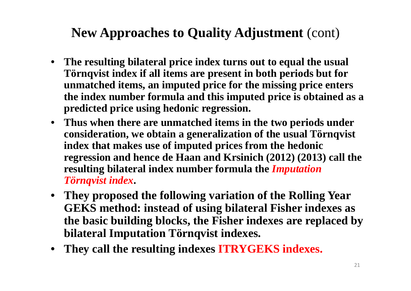# **New Approaches to Quality Adjustment** (cont)

- **The resulting bilateral price index turns out to equal the usual Törnqvist index if all items are present in both periods but for unmatched items, an imputed price for the missing price enters the index number formula and this imputed price is obtained as a predicted price using hedonic regression.**
- **Thus when there are unmatched items in the two periods under consideration, we obtain a generalization of the usual Törnqvist index that makes use of imputed prices from the hedonic regression and hence de Haan and Krsinich (2012) (2013) call the resulting bilateral index number formula the** *Imputation Törnqvist index***.**
- **They proposed the following variation of the Rolling Year GEKS method: instead of using bilateral Fisher indexes as the basic building blocks, the Fisher indexes are replaced by bilateral Imputation Törnqvist indexes.**
- **They call the resulting indexes ITRYGEKS indexes.**